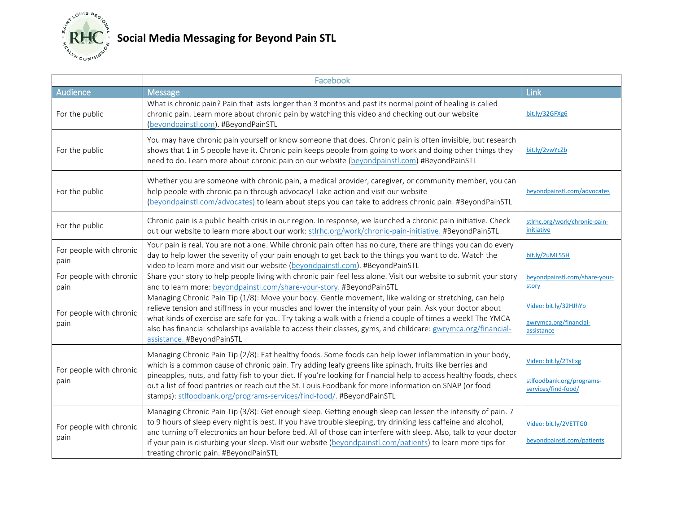

## **Social Media Messaging for Beyond Pain STL**

|                                 | Facebook                                                                                                                                                                                                                                                                                                                                                                                                                                                                                                                   |                                                                           |
|---------------------------------|----------------------------------------------------------------------------------------------------------------------------------------------------------------------------------------------------------------------------------------------------------------------------------------------------------------------------------------------------------------------------------------------------------------------------------------------------------------------------------------------------------------------------|---------------------------------------------------------------------------|
| Audience                        | <b>Message</b>                                                                                                                                                                                                                                                                                                                                                                                                                                                                                                             | Link                                                                      |
| For the public                  | What is chronic pain? Pain that lasts longer than 3 months and past its normal point of healing is called<br>chronic pain. Learn more about chronic pain by watching this video and checking out our website<br>(beyondpainstl.com). #BeyondPainSTL                                                                                                                                                                                                                                                                        | bit.ly/32GFXg6                                                            |
| For the public                  | You may have chronic pain yourself or know someone that does. Chronic pain is often invisible, but research<br>shows that 1 in 5 people have it. Chronic pain keeps people from going to work and doing other things they<br>need to do. Learn more about chronic pain on our website (beyondpainstl.com) #BeyondPainSTL                                                                                                                                                                                                   | bit.ly/2vwYcZb                                                            |
| For the public                  | Whether you are someone with chronic pain, a medical provider, caregiver, or community member, you can<br>help people with chronic pain through advocacy! Take action and visit our website<br>(beyondpainstl.com/advocates) to learn about steps you can take to address chronic pain. #BeyondPainSTL                                                                                                                                                                                                                     | beyondpainstl.com/advocates                                               |
| For the public                  | Chronic pain is a public health crisis in our region. In response, we launched a chronic pain initiative. Check<br>out our website to learn more about our work: stlrhc.org/work/chronic-pain-initiative. #BeyondPainSTL                                                                                                                                                                                                                                                                                                   | stlrhc.org/work/chronic-pain-<br>initiative                               |
| For people with chronic<br>pain | Your pain is real. You are not alone. While chronic pain often has no cure, there are things you can do every<br>day to help lower the severity of your pain enough to get back to the things you want to do. Watch the<br>video to learn more and visit our website (beyondpainstl.com). #BeyondPainSTL                                                                                                                                                                                                                   | bit.ly/2uML55H                                                            |
| For people with chronic<br>pain | Share your story to help people living with chronic pain feel less alone. Visit our website to submit your story<br>and to learn more: beyondpainstl.com/share-your-story. #BeyondPainSTL                                                                                                                                                                                                                                                                                                                                  | beyondpainstl.com/share-your-<br>story                                    |
| For people with chronic<br>pain | Managing Chronic Pain Tip (1/8): Move your body. Gentle movement, like walking or stretching, can help<br>relieve tension and stiffness in your muscles and lower the intensity of your pain. Ask your doctor about<br>what kinds of exercise are safe for you. Try taking a walk with a friend a couple of times a week! The YMCA<br>also has financial scholarships available to access their classes, gyms, and childcare: gwrymca.org/financial-<br>assistance. #BeyondPainSTL                                         | Video: bit.ly/32HJhYp<br>gwrymca.org/financial-<br>assistance             |
| For people with chronic<br>pain | Managing Chronic Pain Tip (2/8): Eat healthy foods. Some foods can help lower inflammation in your body,<br>which is a common cause of chronic pain. Try adding leafy greens like spinach, fruits like berries and<br>pineapples, nuts, and fatty fish to your diet. If you're looking for financial help to access healthy foods, check<br>out a list of food pantries or reach out the St. Louis Foodbank for more information on SNAP (or food<br>stamps): stlfoodbank.org/programs-services/find-food/. #BeyondPainSTL | Video: bit.ly/2Tsllxg<br>stlfoodbank.org/programs-<br>services/find-food/ |
| For people with chronic<br>pain | Managing Chronic Pain Tip (3/8): Get enough sleep. Getting enough sleep can lessen the intensity of pain. 7<br>to 9 hours of sleep every night is best. If you have trouble sleeping, try drinking less caffeine and alcohol,<br>and turning off electronics an hour before bed. All of those can interfere with sleep. Also, talk to your doctor<br>if your pain is disturbing your sleep. Visit our website (beyondpainstl.com/patients) to learn more tips for<br>treating chronic pain. #BeyondPainSTL                 | Video: bit.ly/2VETTG0<br>beyondpainstl.com/patients                       |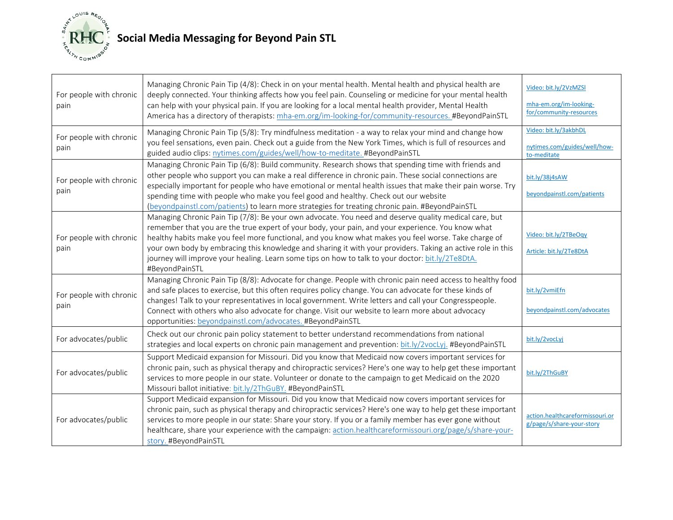

| For people with chronic<br>pain | Managing Chronic Pain Tip (4/8): Check in on your mental health. Mental health and physical health are<br>deeply connected. Your thinking affects how you feel pain. Counseling or medicine for your mental health<br>can help with your physical pain. If you are looking for a local mental health provider, Mental Health<br>America has a directory of therapists: mha-em.org/im-looking-for/community-resources. #BeyondPainSTL                                                                                                                     | Video: bit.ly/2VzMZSI<br>mha-em.org/im-looking-<br>for/community-resources |
|---------------------------------|----------------------------------------------------------------------------------------------------------------------------------------------------------------------------------------------------------------------------------------------------------------------------------------------------------------------------------------------------------------------------------------------------------------------------------------------------------------------------------------------------------------------------------------------------------|----------------------------------------------------------------------------|
| For people with chronic<br>pain | Managing Chronic Pain Tip (5/8): Try mindfulness meditation - a way to relax your mind and change how<br>you feel sensations, even pain. Check out a guide from the New York Times, which is full of resources and<br>guided audio clips: nytimes.com/guides/well/how-to-meditate. #BeyondPainSTL                                                                                                                                                                                                                                                        | Video: bit.ly/3akbhDL<br>nytimes.com/guides/well/how-<br>to-meditate       |
| For people with chronic<br>pain | Managing Chronic Pain Tip (6/8): Build community. Research shows that spending time with friends and<br>other people who support you can make a real difference in chronic pain. These social connections are<br>especially important for people who have emotional or mental health issues that make their pain worse. Try<br>spending time with people who make you feel good and healthy. Check out our website<br>(beyondpainstl.com/patients) to learn more strategies for treating chronic pain. #BeyondPainSTL                                    | bit.ly/38j4sAW<br>beyondpainstl.com/patients                               |
| For people with chronic<br>pain | Managing Chronic Pain Tip (7/8): Be your own advocate. You need and deserve quality medical care, but<br>remember that you are the true expert of your body, your pain, and your experience. You know what<br>healthy habits make you feel more functional, and you know what makes you feel worse. Take charge of<br>your own body by embracing this knowledge and sharing it with your providers. Taking an active role in this<br>journey will improve your healing. Learn some tips on how to talk to your doctor: bit.ly/2Te8DtA.<br>#BeyondPainSTL | Video: bit.ly/2TBeOqy<br>Article: bit.ly/2Te8DtA                           |
| For people with chronic<br>pain | Managing Chronic Pain Tip (8/8): Advocate for change. People with chronic pain need access to healthy food<br>and safe places to exercise, but this often requires policy change. You can advocate for these kinds of<br>changes! Talk to your representatives in local government. Write letters and call your Congresspeople.<br>Connect with others who also advocate for change. Visit our website to learn more about advocacy<br>opportunities: beyondpainstl.com/advocates. #BeyondPainSTL                                                        | bit.ly/2vmiEfn<br>beyondpainstl.com/advocates                              |
| For advocates/public            | Check out our chronic pain policy statement to better understand recommendations from national<br>strategies and local experts on chronic pain management and prevention: bit.ly/2vocLyj. #BeyondPainSTL                                                                                                                                                                                                                                                                                                                                                 | bit.ly/2vocLyj                                                             |
| For advocates/public            | Support Medicaid expansion for Missouri. Did you know that Medicaid now covers important services for<br>chronic pain, such as physical therapy and chiropractic services? Here's one way to help get these important<br>services to more people in our state. Volunteer or donate to the campaign to get Medicaid on the 2020<br>Missouri ballot initiative: bit.ly/2ThGuBY. #BeyondPainSTL                                                                                                                                                             | bit.ly/2ThGuBY                                                             |
| For advocates/public            | Support Medicaid expansion for Missouri. Did you know that Medicaid now covers important services for<br>chronic pain, such as physical therapy and chiropractic services? Here's one way to help get these important<br>services to more people in our state: Share your story. If you or a family member has ever gone without<br>healthcare, share your experience with the campaign: action.healthcareformissouri.org/page/s/share-your-<br>story. #BeyondPainSTL                                                                                    | action.healthcareformissouri.or<br>g/page/s/share-your-story               |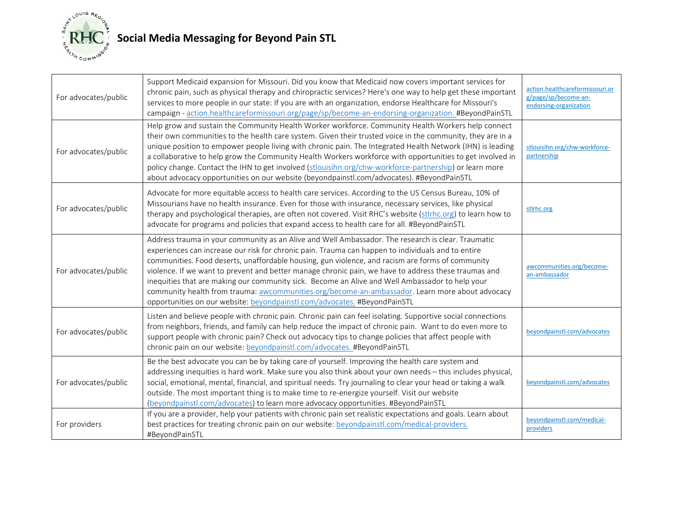

## **Social Media Messaging for Beyond Pain STL**

| For advocates/public | Support Medicaid expansion for Missouri. Did you know that Medicaid now covers important services for<br>chronic pain, such as physical therapy and chiropractic services? Here's one way to help get these important<br>services to more people in our state: If you are with an organization, endorse Healthcare for Missouri's<br>campaign - action.healthcareformissouri.org/page/sp/become-an-endorsing-organization. #BeyondPainSTL                                                                                                                                                                                                                                                               | action.healthcareformissouri.or<br>g/page/sp/become-an-<br>endorsing-organization |
|----------------------|---------------------------------------------------------------------------------------------------------------------------------------------------------------------------------------------------------------------------------------------------------------------------------------------------------------------------------------------------------------------------------------------------------------------------------------------------------------------------------------------------------------------------------------------------------------------------------------------------------------------------------------------------------------------------------------------------------|-----------------------------------------------------------------------------------|
| For advocates/public | Help grow and sustain the Community Health Worker workforce. Community Health Workers help connect<br>their own communities to the health care system. Given their trusted voice in the community, they are in a<br>unique position to empower people living with chronic pain. The Integrated Health Network (IHN) is leading<br>a collaborative to help grow the Community Health Workers workforce with opportunities to get involved in<br>policy change. Contact the IHN to get involved (stlouisihn.org/chw-workforce-partnership) or learn more<br>about advocacy opportunities on our website (beyondpainstl.com/advocates). #BeyondPainSTL                                                     | stlouisihn.org/chw-workforce-<br>partnership                                      |
| For advocates/public | Advocate for more equitable access to health care services. According to the US Census Bureau, 10% of<br>Missourians have no health insurance. Even for those with insurance, necessary services, like physical<br>therapy and psychological therapies, are often not covered. Visit RHC's website (stlrhc.org) to learn how to<br>advocate for programs and policies that expand access to health care for all. #BeyondPainSTL                                                                                                                                                                                                                                                                         | stirhc.org                                                                        |
| For advocates/public | Address trauma in your community as an Alive and Well Ambassador. The research is clear. Traumatic<br>experiences can increase our risk for chronic pain. Trauma can happen to individuals and to entire<br>communities. Food deserts, unaffordable housing, gun violence, and racism are forms of community<br>violence. If we want to prevent and better manage chronic pain, we have to address these traumas and<br>inequities that are making our community sick. Become an Alive and Well Ambassador to help your<br>community health from trauma: awcommunities.org/become-an-ambassador. Learn more about advocacy<br>opportunities on our website: beyondpainstl.com/advocates. #BeyondPainSTL | awcommunities.org/become-<br>an-ambassador                                        |
| For advocates/public | Listen and believe people with chronic pain. Chronic pain can feel isolating. Supportive social connections<br>from neighbors, friends, and family can help reduce the impact of chronic pain. Want to do even more to<br>support people with chronic pain? Check out advocacy tips to change policies that affect people with<br>chronic pain on our website: beyondpainstl.com/advocates. #BeyondPainSTL                                                                                                                                                                                                                                                                                              | beyondpainstl.com/advocates                                                       |
| For advocates/public | Be the best advocate you can be by taking care of yourself. Improving the health care system and<br>addressing inequities is hard work. Make sure you also think about your own needs - this includes physical,<br>social, emotional, mental, financial, and spiritual needs. Try journaling to clear your head or taking a walk<br>outside. The most important thing is to make time to re-energize yourself. Visit our website<br>(beyondpainstl.com/advocates) to learn more advocacy opportunities. #BeyondPainSTL                                                                                                                                                                                  | beyondpainstl.com/advocates                                                       |
| For providers        | If you are a provider, help your patients with chronic pain set realistic expectations and goals. Learn about<br>best practices for treating chronic pain on our website: beyondpainstl.com/medical-providers.<br>#BeyondPainSTL                                                                                                                                                                                                                                                                                                                                                                                                                                                                        | beyondpainstl.com/medical-<br>providers                                           |